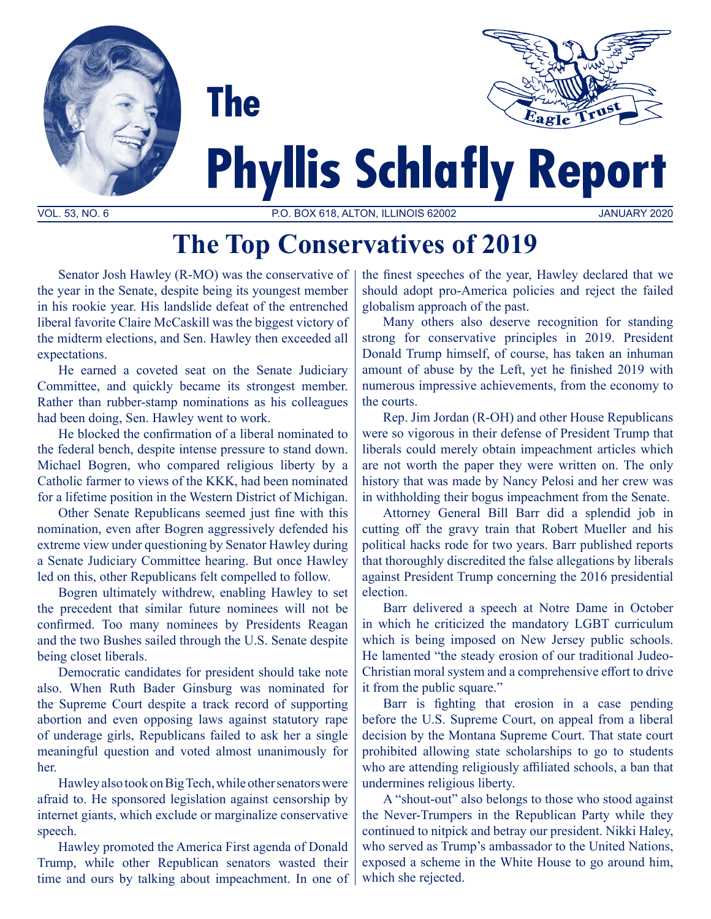



# **Phyllis Schlafly Report**

VOL. 53, NO. 6 P.O. BOX 618, ALTON, ILLINOIS 62002 JANUARY 2020

## **The Top Conservatives of 2019**

Senator Josh Hawley (R-MO) was the conservative of the year in the Senate, despite being its youngest member in his rookie year. His landslide defeat of the entrenched liberal favorite Claire McCaskill was the biggest victory of the midterm elections, and Sen. Hawley then exceeded all expectations.

**The** 

He earned a coveted seat on the Senate Judiciary Committee, and quickly became its strongest member. Rather than rubber-stamp nominations as his colleagues had been doing, Sen. Hawley went to work.

 He blocked the confirmation of a liberal nominated to the federal bench, despite intense pressure to stand down. Michael Bogren, who compared religious liberty by a Catholic farmer to views of the KKK, had been nominated for a lifetime position in the Western District of Michigan.

 Other Senate Republicans seemed just fine with this nomination, even after Bogren aggressively defended his extreme view under questioning by Senator Hawley during a Senate Judiciary Committee hearing. But once Hawley led on this, other Republicans felt compelled to follow.

Bogren ultimately withdrew, enabling Hawley to set the precedent that similar future nominees will not be confirmed. Too many nominees by Presidents Reagan and the two Bushes sailed through the U.S. Senate despite being closet liberals.

Democratic candidates for president should take note also. When Ruth Bader Ginsburg was nominated for the Supreme Court despite a track record of supporting abortion and even opposing laws against statutory rape of underage girls, Republicans failed to ask her a single meaningful question and voted almost unanimously for her.

Hawley also took on Big Tech, while other senators were afraid to. He sponsored legislation against censorship by internet giants, which exclude or marginalize conservative speech.

Hawley promoted the America First agenda of Donald Trump, while other Republican senators wasted their time and ours by talking about impeachment. In one of the finest speeches of the year, Hawley declared that we should adopt pro-America policies and reject the failed globalism approach of the past.

Many others also deserve recognition for standing strong for conservative principles in 2019. President Donald Trump himself, of course, has taken an inhuman amount of abuse by the Left, yet he finished 2019 with numerous impressive achievements, from the economy to the courts.

Rep. Jim Jordan (R-OH) and other House Republicans were so vigorous in their defense of President Trump that liberals could merely obtain impeachment articles which are not worth the paper they were written on. The only history that was made by Nancy Pelosi and her crew was in withholding their bogus impeachment from the Senate.

Attorney General Bill Barr did a splendid job in cutting off the gravy train that Robert Mueller and his political hacks rode for two years. Barr published reports that thoroughly discredited the false allegations by liberals against President Trump concerning the 2016 presidential election.

Barr delivered a speech at Notre Dame in October in which he criticized the mandatory LGBT curriculum which is being imposed on New Jersey public schools. He lamented "the steady erosion of our traditional Judeo-Christian moral system and a comprehensive effort to drive it from the public square."

 Barr is fighting that erosion in a case pending before the U.S. Supreme Court, on appeal from a liberal decision by the Montana Supreme Court. That state court prohibited allowing state scholarships to go to students who are attending religiously affiliated schools, a ban that undermines religious liberty.

A "shout-out" also belongs to those who stood against the Never-Trumpers in the Republican Party while they continued to nitpick and betray our president. Nikki Haley, who served as Trump's ambassador to the United Nations, exposed a scheme in the White House to go around him, which she rejected.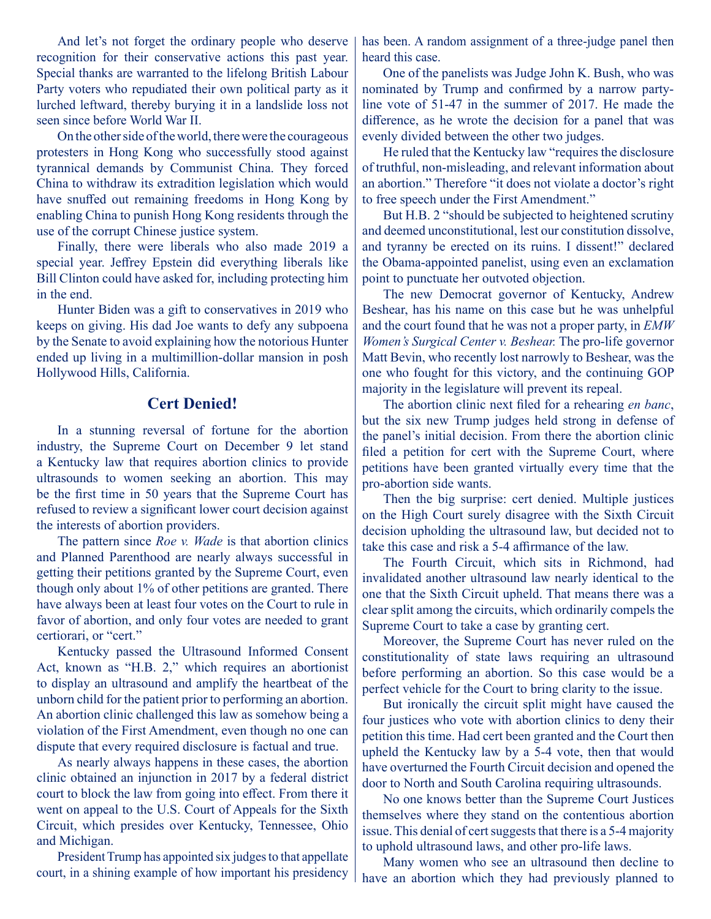And let's not forget the ordinary people who deserve recognition for their conservative actions this past year. Special thanks are warranted to the lifelong British Labour Party voters who repudiated their own political party as it lurched leftward, thereby burying it in a landslide loss not seen since before World War II.

On the other side of the world, there were the courageous protesters in Hong Kong who successfully stood against tyrannical demands by Communist China. They forced China to withdraw its extradition legislation which would have snuffed out remaining freedoms in Hong Kong by enabling China to punish Hong Kong residents through the use of the corrupt Chinese justice system.

Finally, there were liberals who also made 2019 a special year. Jeffrey Epstein did everything liberals like Bill Clinton could have asked for, including protecting him in the end.

Hunter Biden was a gift to conservatives in 2019 who keeps on giving. His dad Joe wants to defy any subpoena by the Senate to avoid explaining how the notorious Hunter ended up living in a multimillion-dollar mansion in posh Hollywood Hills, California.

### **Cert Denied!**

In a stunning reversal of fortune for the abortion industry, the Supreme Court on December 9 let stand a Kentucky law that requires abortion clinics to provide ultrasounds to women seeking an abortion. This may be the first time in 50 years that the Supreme Court has refused to review a significant lower court decision against the interests of abortion providers.

 The pattern since *Roe v. Wade* is that abortion clinics and Planned Parenthood are nearly always successful in getting their petitions granted by the Supreme Court, even though only about 1% of other petitions are granted. There have always been at least four votes on the Court to rule in favor of abortion, and only four votes are needed to grant certiorari, or "cert."

Kentucky passed the Ultrasound Informed Consent Act, known as "H.B. 2," which requires an abortionist to display an ultrasound and amplify the heartbeat of the unborn child for the patient prior to performing an abortion. An abortion clinic challenged this law as somehow being a violation of the First Amendment, even though no one can dispute that every required disclosure is factual and true.

As nearly always happens in these cases, the abortion clinic obtained an injunction in 2017 by a federal district court to block the law from going into effect. From there it went on appeal to the U.S. Court of Appeals for the Sixth Circuit, which presides over Kentucky, Tennessee, Ohio and Michigan.

President Trump has appointed six judges to that appellate court, in a shining example of how important his presidency

has been. A random assignment of a three-judge panel then heard this case.

One of the panelists was Judge John K. Bush, who was nominated by Trump and confirmed by a narrow partyline vote of 51-47 in the summer of 2017. He made the difference, as he wrote the decision for a panel that was evenly divided between the other two judges.

He ruled that the Kentucky law "requires the disclosure of truthful, non-misleading, and relevant information about an abortion." Therefore "it does not violate a doctor's right to free speech under the First Amendment."

But H.B. 2 "should be subjected to heightened scrutiny and deemed unconstitutional, lest our constitution dissolve, and tyranny be erected on its ruins. I dissent!" declared the Obama-appointed panelist, using even an exclamation point to punctuate her outvoted objection.

 The new Democrat governor of Kentucky, Andrew Beshear, has his name on this case but he was unhelpful and the court found that he was not a proper party, in *EMW Women's Surgical Center v. Beshear.* The pro-life governor Matt Bevin, who recently lost narrowly to Beshear, was the one who fought for this victory, and the continuing GOP majority in the legislature will prevent its repeal.

 The abortion clinic next filed for a rehearing *en banc*, but the six new Trump judges held strong in defense of the panel's initial decision. From there the abortion clinic filed a petition for cert with the Supreme Court, where petitions have been granted virtually every time that the pro-abortion side wants.

 Then the big surprise: cert denied. Multiple justices on the High Court surely disagree with the Sixth Circuit decision upholding the ultrasound law, but decided not to take this case and risk a 5-4 affirmance of the law.

 The Fourth Circuit, which sits in Richmond, had invalidated another ultrasound law nearly identical to the one that the Sixth Circuit upheld. That means there was a clear split among the circuits, which ordinarily compels the Supreme Court to take a case by granting cert.

Moreover, the Supreme Court has never ruled on the constitutionality of state laws requiring an ultrasound before performing an abortion. So this case would be a perfect vehicle for the Court to bring clarity to the issue.

But ironically the circuit split might have caused the four justices who vote with abortion clinics to deny their petition this time. Had cert been granted and the Court then upheld the Kentucky law by a 5-4 vote, then that would have overturned the Fourth Circuit decision and opened the door to North and South Carolina requiring ultrasounds.

No one knows better than the Supreme Court Justices themselves where they stand on the contentious abortion issue. This denial of cert suggests that there is a 5-4 majority to uphold ultrasound laws, and other pro-life laws.

Many women who see an ultrasound then decline to have an abortion which they had previously planned to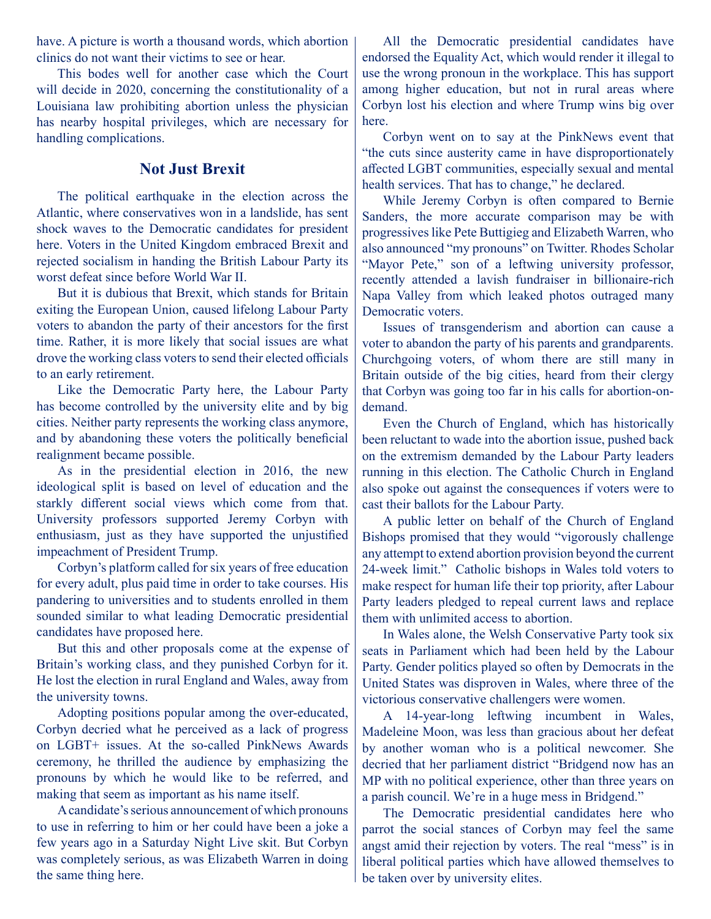have. A picture is worth a thousand words, which abortion clinics do not want their victims to see or hear.

 This bodes well for another case which the Court will decide in 2020, concerning the constitutionality of a Louisiana law prohibiting abortion unless the physician has nearby hospital privileges, which are necessary for handling complications.

### **Not Just Brexit**

 The political earthquake in the election across the Atlantic, where conservatives won in a landslide, has sent shock waves to the Democratic candidates for president here. Voters in the United Kingdom embraced Brexit and rejected socialism in handing the British Labour Party its worst defeat since before World War II.

But it is dubious that Brexit, which stands for Britain exiting the European Union, caused lifelong Labour Party voters to abandon the party of their ancestors for the first time. Rather, it is more likely that social issues are what drove the working class voters to send their elected officials to an early retirement.

 Like the Democratic Party here, the Labour Party has become controlled by the university elite and by big cities. Neither party represents the working class anymore, and by abandoning these voters the politically beneficial realignment became possible.

 As in the presidential election in 2016, the new ideological split is based on level of education and the starkly different social views which come from that. University professors supported Jeremy Corbyn with enthusiasm, just as they have supported the unjustified impeachment of President Trump.

 Corbyn's platform called for six years of free education for every adult, plus paid time in order to take courses. His pandering to universities and to students enrolled in them sounded similar to what leading Democratic presidential candidates have proposed here.

But this and other proposals come at the expense of Britain's working class, and they punished Corbyn for it. He lost the election in rural England and Wales, away from the university towns.

Adopting positions popular among the over-educated, Corbyn decried what he perceived as a lack of progress on LGBT+ issues. At the so-called PinkNews Awards ceremony, he thrilled the audience by emphasizing the pronouns by which he would like to be referred, and making that seem as important as his name itself.

A candidate's serious announcement of which pronouns to use in referring to him or her could have been a joke a few years ago in a Saturday Night Live skit. But Corbyn was completely serious, as was Elizabeth Warren in doing the same thing here.

All the Democratic presidential candidates have endorsed the Equality Act, which would render it illegal to use the wrong pronoun in the workplace. This has support among higher education, but not in rural areas where Corbyn lost his election and where Trump wins big over here.

 Corbyn went on to say at the PinkNews event that "the cuts since austerity came in have disproportionately affected LGBT communities, especially sexual and mental health services. That has to change," he declared.

While Jeremy Corbyn is often compared to Bernie Sanders, the more accurate comparison may be with progressiveslike Pete Buttigieg and Elizabeth Warren, who also announced "my pronouns" on Twitter. Rhodes Scholar "Mayor Pete," son of a leftwing university professor, recently attended a lavish fundraiser in billionaire-rich Napa Valley from which leaked photos outraged many Democratic voters.

Issues of transgenderism and abortion can cause a voter to abandon the party of his parents and grandparents. Churchgoing voters, of whom there are still many in Britain outside of the big cities, heard from their clergy that Corbyn was going too far in his calls for abortion-ondemand.

 Even the Church of England, which has historically been reluctant to wade into the abortion issue, pushed back on the extremism demanded by the Labour Party leaders running in this election. The Catholic Church in England also spoke out against the consequences if voters were to cast their ballots for the Labour Party.

 A public letter on behalf of the Church of England Bishops promised that they would "vigorously challenge any attempt to extend abortion provision beyond the current 24-week limit." Catholic bishops in Wales told voters to make respect for human life their top priority, after Labour Party leaders pledged to repeal current laws and replace them with unlimited access to abortion.

 In Wales alone, the Welsh Conservative Party took six seats in Parliament which had been held by the Labour Party. Gender politics played so often by Democrats in the United States was disproven in Wales, where three of the victorious conservative challengers were women.

 A 14-year-long leftwing incumbent in Wales, Madeleine Moon, was less than gracious about her defeat by another woman who is a political newcomer. She decried that her parliament district "Bridgend now has an MP with no political experience, other than three years on a parish council. We're in a huge mess in Bridgend."

 The Democratic presidential candidates here who parrot the social stances of Corbyn may feel the same angst amid their rejection by voters. The real "mess" is in liberal political parties which have allowed themselves to be taken over by university elites.